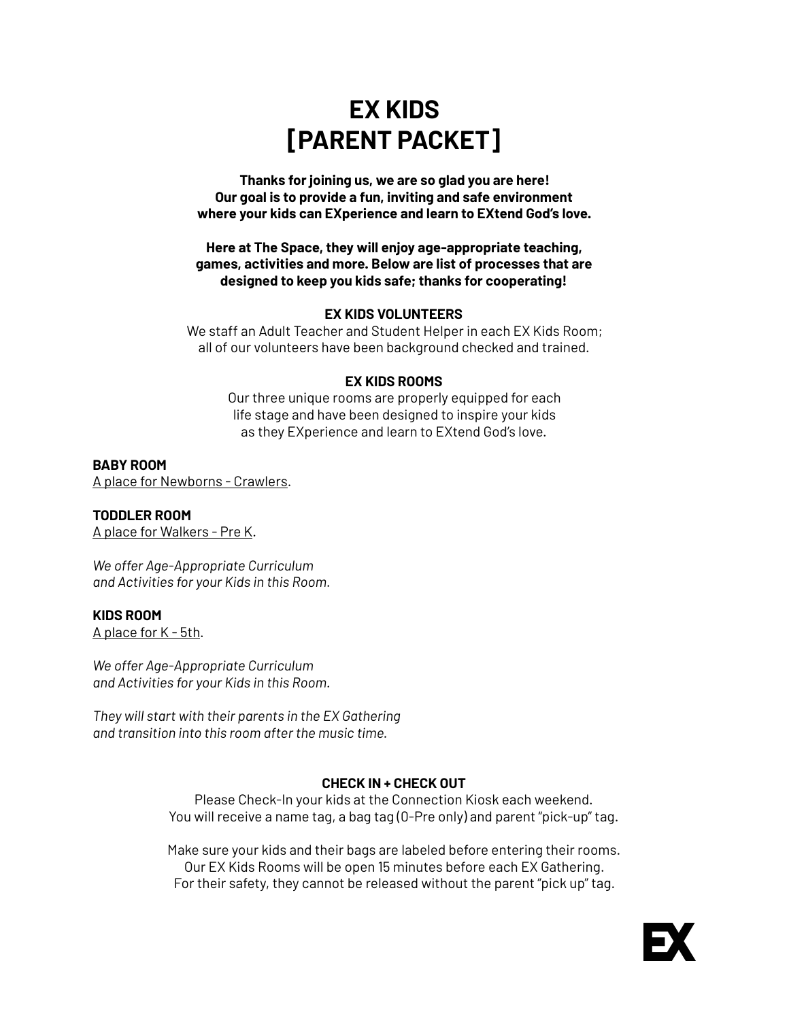# **EX KIDS [PARENT PACKET]**

**Thanks for joining us, we are so glad you are here! Our goal is to provide a fun, inviting and safe environment where your kids can EXperience and learn to EXtend God's love.** 

**Here at The Space, they will enjoy age-appropriate teaching, games, activities and more. Below are list of processes that are designed to keep you kids safe; thanks for cooperating!** 

## **EX KIDS VOLUNTEERS**

We staff an Adult Teacher and Student Helper in each EX Kids Room; all of our volunteers have been background checked and trained.

## **EX KIDS ROOMS**

Our three unique rooms are properly equipped for each life stage and have been designed to inspire your kids as they EXperience and learn to EXtend God's love.

## **BABY ROOM**

A place for Newborns - Crawlers.

## **TODDLER ROOM**

A place for Walkers - Pre K.

*We offer Age-Appropriate Curriculum and Activities for your Kids in this Room.* 

## **KIDS ROOM**

A place for K - 5th.

*We offer Age-Appropriate Curriculum and Activities for your Kids in this Room.* 

*They will start with their parents in the EX Gathering and transition into this room after the music time.* 

## **CHECK IN + CHECK OUT**

Please Check-In your kids at the Connection Kiosk each weekend. You will receive a name tag, a bag tag (0-Pre only) and parent "pick-up" tag.

Make sure your kids and their bags are labeled before entering their rooms. Our EX Kids Rooms will be open 15 minutes before each EX Gathering. For their safety, they cannot be released without the parent "pick up" tag.